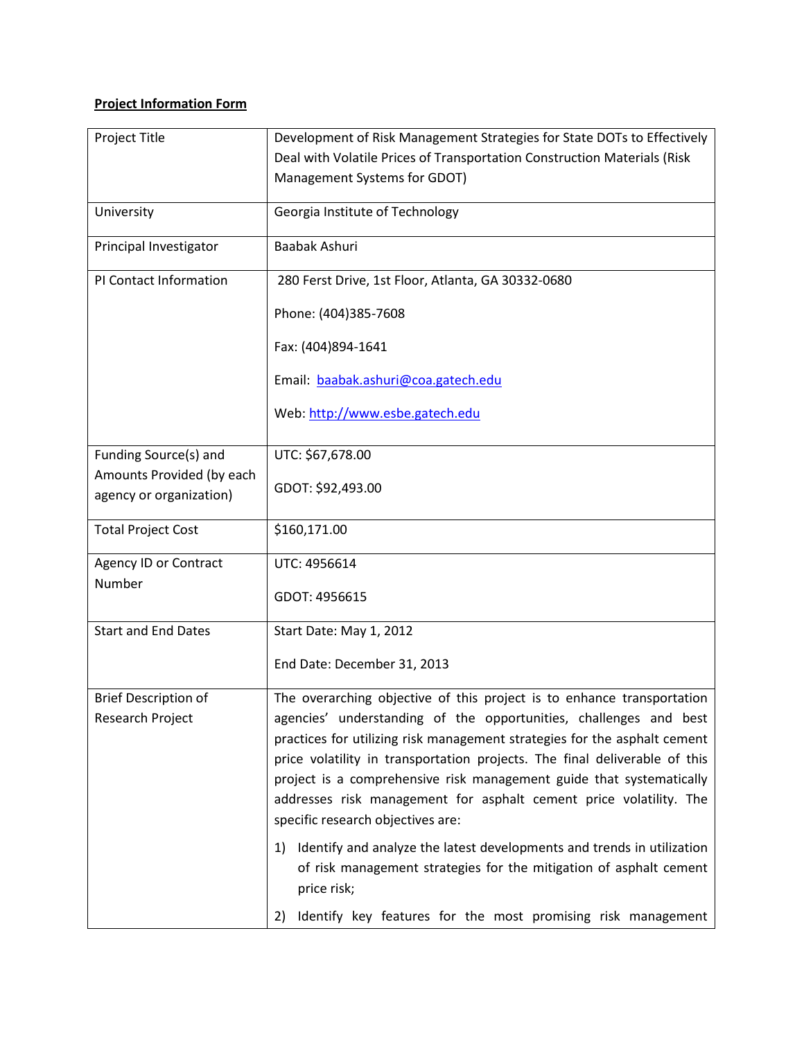## **Project Information Form**

| Project Title                                        | Development of Risk Management Strategies for State DOTs to Effectively                                                                                                                                                                                                                                                                                                                                                                                                                   |
|------------------------------------------------------|-------------------------------------------------------------------------------------------------------------------------------------------------------------------------------------------------------------------------------------------------------------------------------------------------------------------------------------------------------------------------------------------------------------------------------------------------------------------------------------------|
|                                                      | Deal with Volatile Prices of Transportation Construction Materials (Risk                                                                                                                                                                                                                                                                                                                                                                                                                  |
|                                                      | Management Systems for GDOT)                                                                                                                                                                                                                                                                                                                                                                                                                                                              |
| University                                           | Georgia Institute of Technology                                                                                                                                                                                                                                                                                                                                                                                                                                                           |
| Principal Investigator                               | Baabak Ashuri                                                                                                                                                                                                                                                                                                                                                                                                                                                                             |
| PI Contact Information                               | 280 Ferst Drive, 1st Floor, Atlanta, GA 30332-0680                                                                                                                                                                                                                                                                                                                                                                                                                                        |
|                                                      | Phone: (404)385-7608                                                                                                                                                                                                                                                                                                                                                                                                                                                                      |
|                                                      | Fax: (404)894-1641                                                                                                                                                                                                                                                                                                                                                                                                                                                                        |
|                                                      | Email: baabak.ashuri@coa.gatech.edu                                                                                                                                                                                                                                                                                                                                                                                                                                                       |
|                                                      | Web: http://www.esbe.gatech.edu                                                                                                                                                                                                                                                                                                                                                                                                                                                           |
| Funding Source(s) and                                | UTC: \$67,678.00                                                                                                                                                                                                                                                                                                                                                                                                                                                                          |
| Amounts Provided (by each<br>agency or organization) | GDOT: \$92,493.00                                                                                                                                                                                                                                                                                                                                                                                                                                                                         |
| <b>Total Project Cost</b>                            | \$160,171.00                                                                                                                                                                                                                                                                                                                                                                                                                                                                              |
| Agency ID or Contract                                | UTC: 4956614                                                                                                                                                                                                                                                                                                                                                                                                                                                                              |
| Number                                               | GDOT: 4956615                                                                                                                                                                                                                                                                                                                                                                                                                                                                             |
| <b>Start and End Dates</b>                           | Start Date: May 1, 2012                                                                                                                                                                                                                                                                                                                                                                                                                                                                   |
|                                                      | End Date: December 31, 2013                                                                                                                                                                                                                                                                                                                                                                                                                                                               |
| <b>Brief Description of</b><br>Research Project      | The overarching objective of this project is to enhance transportation<br>agencies' understanding of the opportunities, challenges and best<br>practices for utilizing risk management strategies for the asphalt cement<br>price volatility in transportation projects. The final deliverable of this<br>project is a comprehensive risk management guide that systematically<br>addresses risk management for asphalt cement price volatility. The<br>specific research objectives are: |
|                                                      | Identify and analyze the latest developments and trends in utilization<br>1)<br>of risk management strategies for the mitigation of asphalt cement<br>price risk;                                                                                                                                                                                                                                                                                                                         |
|                                                      | Identify key features for the most promising risk management<br>2)                                                                                                                                                                                                                                                                                                                                                                                                                        |